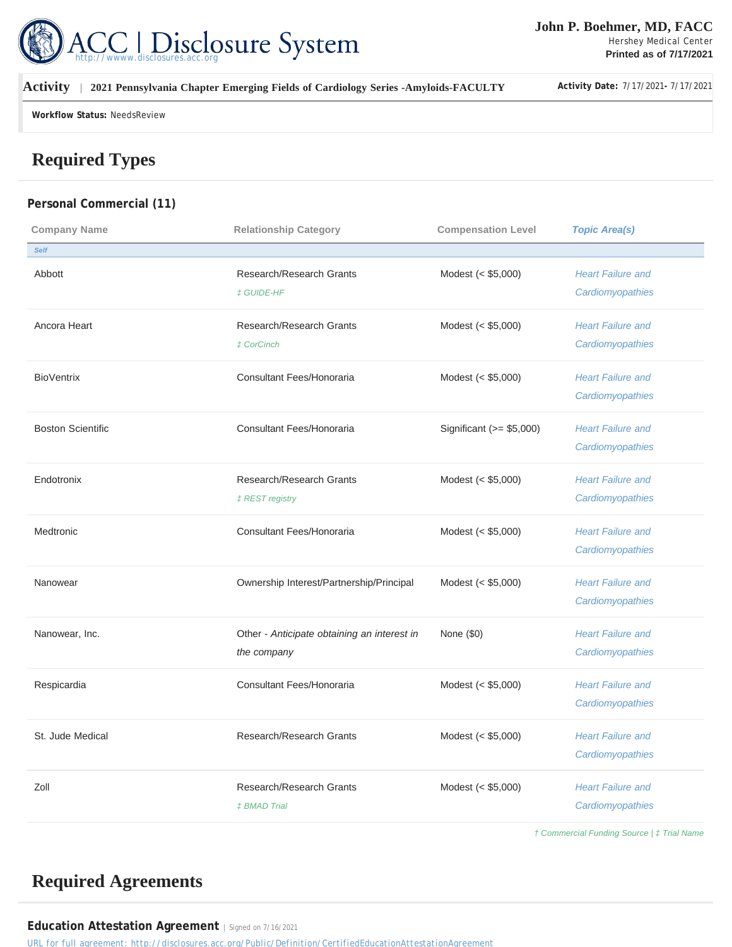

### **Activity | 2021 Pennsylvania Chapter Emerging Fields of Cardiology Series -Amyloids-FACULTY Activity Date:** 7/17/2021**-** 7/17/2021

**Workflow Status:** NeedsReview

# **Required Types**

### **Personal Commercial (11)**

| <b>Company Name</b>      | <b>Relationship Category</b>                | <b>Compensation Level</b> | <b>Topic Area(s)</b>     |
|--------------------------|---------------------------------------------|---------------------------|--------------------------|
| <b>Self</b>              |                                             |                           |                          |
| Abbott                   | Research/Research Grants                    | Modest $(< $5,000)$       | <b>Heart Failure and</b> |
|                          | <b>‡ GUIDE-HF</b>                           |                           | Cardiomyopathies         |
| Ancora Heart             | Research/Research Grants                    | Modest (< \$5,000)        | <b>Heart Failure and</b> |
|                          | <b>± CorCinch</b>                           |                           | Cardiomyopathies         |
| <b>BioVentrix</b>        | Consultant Fees/Honoraria                   | Modest (< \$5,000)        | <b>Heart Failure and</b> |
|                          |                                             |                           | Cardiomyopathies         |
| <b>Boston Scientific</b> | Consultant Fees/Honoraria                   | Significant $(>= $5,000)$ | <b>Heart Failure and</b> |
|                          |                                             |                           | Cardiomyopathies         |
| Endotronix               | Research/Research Grants                    | Modest (< \$5,000)        | <b>Heart Failure and</b> |
|                          | <b>‡REST registry</b>                       |                           | Cardiomyopathies         |
| Medtronic                | Consultant Fees/Honoraria                   | Modest $(< $5,000)$       | <b>Heart Failure and</b> |
|                          |                                             |                           | Cardiomyopathies         |
| Nanowear                 | Ownership Interest/Partnership/Principal    | Modest (< \$5,000)        | <b>Heart Failure and</b> |
|                          |                                             |                           | Cardiomyopathies         |
| Nanowear, Inc.           | Other - Anticipate obtaining an interest in | None (\$0)                | <b>Heart Failure and</b> |
|                          | the company                                 |                           | Cardiomyopathies         |
| Respicardia              | Consultant Fees/Honoraria                   | Modest (< \$5,000)        | <b>Heart Failure and</b> |
|                          |                                             |                           | Cardiomyopathies         |
| St. Jude Medical         | Research/Research Grants                    | Modest (< \$5,000)        | <b>Heart Failure and</b> |
|                          |                                             |                           | Cardiomyopathies         |
| Zoll                     | Research/Research Grants                    | Modest (< \$5,000)        | <b>Heart Failure and</b> |
|                          | <b>‡BMAD Trial</b>                          |                           | Cardiomyopathies         |
|                          |                                             |                           |                          |

† Commercial Funding Source | ‡ Trial Name

# **Required Agreements**

Education Attestation Agreement | Signed on 7/16/2021

*URL for full agreement: http://disclosures.acc.org/Public/Definition/CertifiedEducationAttestationAgreement*